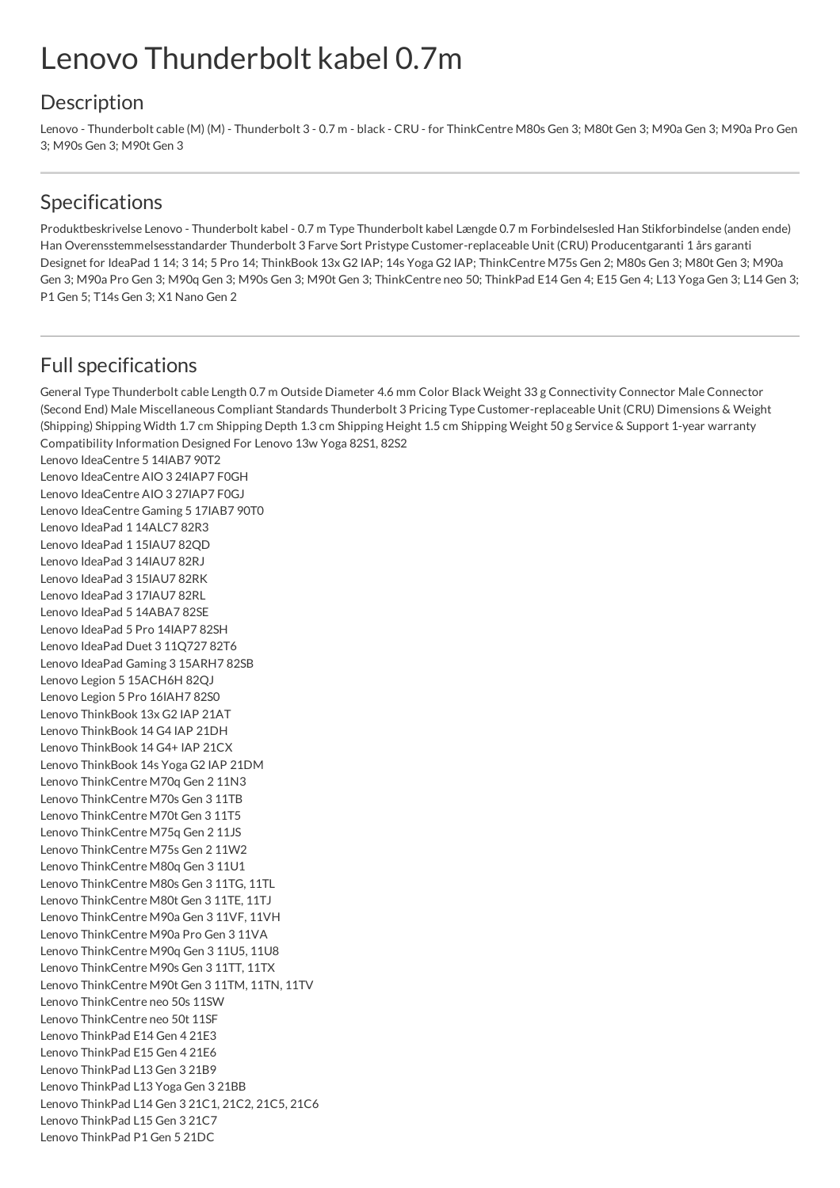## Lenovo Thunderbolt kabel 0.7m

## **Description**

Lenovo - Thunderbolt cable (M) (M) - Thunderbolt 3 - 0.7 m - black - CRU - for ThinkCentre M80s Gen 3; M80t Gen 3; M90a Gen 3; M90a Pro Gen 3; M90s Gen 3; M90t Gen 3

## Specifications

Produktbeskrivelse Lenovo - Thunderbolt kabel - 0.7 m Type Thunderbolt kabel Længde 0.7 m Forbindelsesled Han Stikforbindelse (anden ende) Han Overensstemmelsesstandarder Thunderbolt 3 Farve Sort Pristype Customer-replaceable Unit (CRU) Producentgaranti 1 års garanti Designet for IdeaPad 1 14; 3 14; 5 Pro 14; ThinkBook 13x G2 IAP; 14s Yoga G2 IAP; ThinkCentre M75s Gen 2; M80s Gen 3; M80t Gen 3; M90a Gen 3; M90a Pro Gen 3; M90q Gen 3; M90s Gen 3; M90t Gen 3; ThinkCentre neo 50; ThinkPad E14 Gen 4; E15 Gen 4; L13 Yoga Gen 3; L14 Gen 3; P1 Gen 5; T14s Gen 3; X1 Nano Gen 2

## Full specifications

General Type Thunderbolt cable Length 0.7 m Outside Diameter 4.6 mm Color Black Weight 33 g Connectivity Connector Male Connector (Second End) Male Miscellaneous Compliant Standards Thunderbolt 3 Pricing Type Customer-replaceable Unit (CRU) Dimensions & Weight (Shipping) Shipping Width 1.7 cm Shipping Depth 1.3 cm Shipping Height 1.5 cm Shipping Weight 50 g Service & Support 1-year warranty Compatibility Information Designed For Lenovo 13w Yoga 82S1, 82S2 Lenovo IdeaCentre 5 14IAB7 90T2 Lenovo IdeaCentre AIO 3 24IAP7 F0GH Lenovo IdeaCentre AIO 3 27IAP7 F0GJ Lenovo IdeaCentre Gaming 5 17IAB7 90T0 Lenovo IdeaPad 1 14ALC7 82R3 Lenovo IdeaPad 1 15IAU7 82QD Lenovo IdeaPad 3 14IAU7 82RJ Lenovo IdeaPad 3 15IAU7 82RK Lenovo IdeaPad 3 17IAU7 82RL Lenovo IdeaPad 5 14ABA7 82SE Lenovo IdeaPad 5 Pro 14IAP7 82SH Lenovo IdeaPad Duet 3 11Q727 82T6 Lenovo IdeaPad Gaming 3 15ARH7 82SB Lenovo Legion 5 15ACH6H 82QJ Lenovo Legion 5 Pro 16IAH7 82S0 Lenovo ThinkBook 13x G2 IAP 21AT Lenovo ThinkBook 14 G4 IAP 21DH Lenovo ThinkBook 14 G4+ IAP 21CX Lenovo ThinkBook 14s Yoga G2 IAP 21DM Lenovo ThinkCentre M70q Gen 2 11N3 Lenovo ThinkCentre M70s Gen 3 11TB Lenovo ThinkCentre M70t Gen 3 11T5 Lenovo ThinkCentre M75q Gen 2 11JS Lenovo ThinkCentre M75s Gen 2 11W2 Lenovo ThinkCentre M80q Gen 3 11U1 Lenovo ThinkCentre M80s Gen 3 11TG, 11TL Lenovo ThinkCentre M80t Gen 3 11TE, 11TJ Lenovo ThinkCentre M90a Gen 3 11VF, 11VH Lenovo ThinkCentre M90a Pro Gen 3 11VA Lenovo ThinkCentre M90q Gen 3 11U5, 11U8 Lenovo ThinkCentre M90s Gen 3 11TT, 11TX Lenovo ThinkCentre M90t Gen 3 11TM, 11TN, 11TV Lenovo ThinkCentre neo 50s 11SW Lenovo ThinkCentre neo 50t 11SF Lenovo ThinkPad E14 Gen 4 21E3 Lenovo ThinkPad E15 Gen 4 21E6 Lenovo ThinkPad L13 Gen 3 21B9 Lenovo ThinkPad L13 Yoga Gen 3 21BB Lenovo ThinkPad L14 Gen 3 21C1, 21C2, 21C5, 21C6 Lenovo ThinkPad L15 Gen 3 21C7 Lenovo ThinkPad P1 Gen 5 21DC